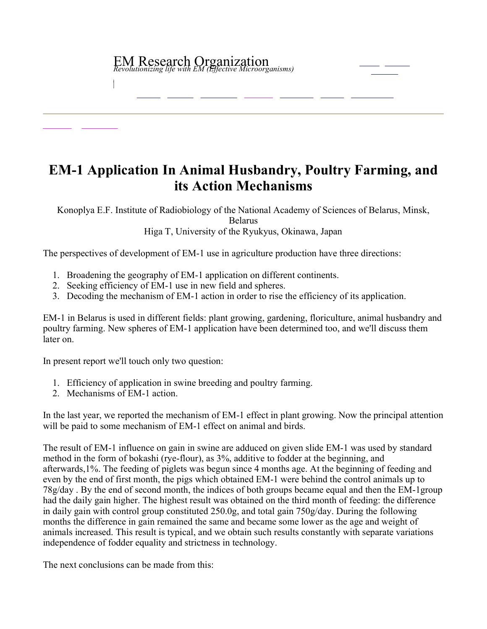## EM Research Organization *Revolutionizing life with EM (Effective Microorganisms)*

## **EM1 Application In Animal Husbandry, Poultry Farming, and its Action Mechanisms**

Konoplya E.F. Institute of Radiobiology of the National Academy of Sciences of Belarus, Minsk,

Belarus

Higa T, University of the Ryukyus, Okinawa, Japan

The perspectives of development of EM-1 use in agriculture production have three directions:

- 1. Broadening the geography of EM-1 application on different continents.
- 2. Seeking efficiency of EM-1 use in new field and spheres.
- 3. Decoding the mechanism of EM-1 action in order to rise the efficiency of its application.

EM1 in Belarus is used in different fields: plant growing, gardening, floriculture, animal husbandry and poultry farming. New spheres of EM-1 application have been determined too, and we'll discuss them later on.

In present report we'll touch only two question:

- 1. Efficiency of application in swine breeding and poultry farming.
- 2. Mechanisms of EM-1 action.

In the last year, we reported the mechanism of EM-1 effect in plant growing. Now the principal attention will be paid to some mechanism of EM-1 effect on animal and birds.

The result of EM-1 influence on gain in swine are adduced on given slide EM-1 was used by standard method in the form of bokashi (rye-flour), as  $3\%$ , additive to fodder at the beginning, and afterwards,1%. The feeding of piglets was begun since 4 months age. At the beginning of feeding and even by the end of first month, the pigs which obtained EM-1 were behind the control animals up to  $78g/day$ . By the end of second month, the indices of both groups became equal and then the EM-1 group had the daily gain higher. The highest result was obtained on the third month of feeding: the difference in daily gain with control group constituted 250.0g, and total gain 750g/day. During the following months the difference in gain remained the same and became some lower as the age and weight of animals increased. This result is typical, and we obtain such results constantly with separate variations independence of fodder equality and strictness in technology.

The next conclusions can be made from this: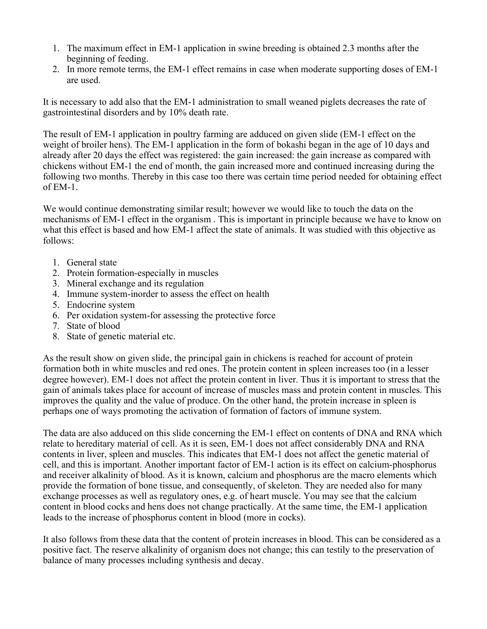- 1. The maximum effect in EM-1 application in swine breeding is obtained 2.3 months after the beginning of feeding.
- 2. In more remote terms, the EM-1 effect remains in case when moderate supporting doses of EM-1 are used.

It is necessary to add also that the EM-1 administration to small weaned piglets decreases the rate of gastrointestinal disorders and by 10% death rate.

The result of EM-1 application in poultry farming are adduced on given slide (EM-1 effect on the weight of broiler hens). The EM-1 application in the form of bokashi began in the age of 10 days and already after 20 days the effect was registered: the gain increased: the gain increase as compared with chickens without EM1 the end of month, the gain increased more and continued increasing during the following two months. Thereby in this case too there was certain time period needed for obtaining effect of  $EM-1$ .

We would continue demonstrating similar result; however we would like to touch the data on the mechanisms of EM-1 effect in the organism. This is important in principle because we have to know on what this effect is based and how EM-1 affect the state of animals. It was studied with this objective as follows:

- 1. General state
- 2. Protein formation-especially in muscles
- 3. Mineral exchange and its regulation
- 4. Immune system-inorder to assess the effect on health
- 5. Endocrine system
- $6.$  Per oxidation system-for assessing the protective force
- 7. State of blood
- 8. State of genetic material etc.

As the result show on given slide, the principal gain in chickens is reached for account of protein formation both in white muscles and red ones. The protein content in spleen increases too (in a lesser degree however). EM-1 does not affect the protein content in liver. Thus it is important to stress that the gain of animals takes place for account of increase of muscles mass and protein content in muscles. This improves the quality and the value of produce. On the other hand, the protein increase in spleen is perhaps one of ways promoting the activation of formation of factors of immune system.

The data are also adduced on this slide concerning the EM-1 effect on contents of DNA and RNA which relate to hereditary material of cell. As it is seen, EM-1 does not affect considerably DNA and RNA contents in liver, spleen and muscles. This indicates that EM-1 does not affect the genetic material of cell, and this is important. Another important factor of EM-1 action is its effect on calcium-phosphorus and receiver alkalinity of blood. As it is known, calcium and phosphorus are the macro elements which provide the formation of bone tissue, and consequently, of skeleton. They are needed also for many exchange processes as well as regulatory ones, e.g. of heart muscle. You may see that the calcium content in blood cocks and hens does not change practically. At the same time, the EM-1 application leads to the increase of phosphorus content in blood (more in cocks).

It also follows from these data that the content of protein increases in blood. This can be considered as a positive fact. The reserve alkalinity of organism does not change; this can testily to the preservation of balance of many processes including synthesis and decay.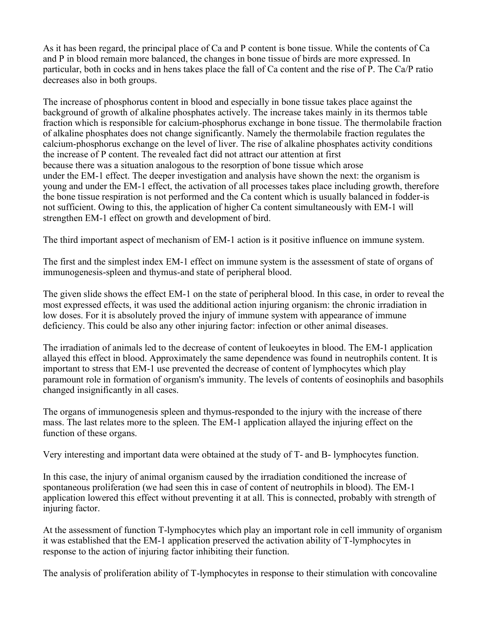As it has been regard, the principal place of Ca and P content is bone tissue. While the contents of Ca and P in blood remain more balanced, the changes in bone tissue of birds are more expressed. In particular, both in cocks and in hens takes place the fall of Ca content and the rise of P. The Ca/P ratio decreases also in both groups.

The increase of phosphorus content in blood and especially in bone tissue takes place against the background of growth of alkaline phosphates actively. The increase takes mainly in its thermos table fraction which is responsible for calcium-phosphorus exchange in bone tissue. The thermolabile fraction of alkaline phosphates does not change significantly. Namely the thermolabile fraction regulates the calcium-phosphorus exchange on the level of liver. The rise of alkaline phosphates activity conditions the increase of P content. The revealed fact did not attract our attention at first because there was a situation analogous to the resorption of bone tissue which arose under the EM-1 effect. The deeper investigation and analysis have shown the next: the organism is young and under the EM-1 effect, the activation of all processes takes place including growth, therefore the bone tissue respiration is not performed and the Ca content which is usually balanced in fodder-is not sufficient. Owing to this, the application of higher Ca content simultaneously with EM-1 will strengthen EM-1 effect on growth and development of bird.

The third important aspect of mechanism of EM-1 action is it positive influence on immune system.

The first and the simplest index EM-1 effect on immune system is the assessment of state of organs of immunogenesis-spleen and thymus-and state of peripheral blood.

The given slide shows the effect EM-1 on the state of peripheral blood. In this case, in order to reveal the most expressed effects, it was used the additional action injuring organism: the chronic irradiation in low doses. For it is absolutely proved the injury of immune system with appearance of immune deficiency. This could be also any other injuring factor: infection or other animal diseases.

The irradiation of animals led to the decrease of content of leukoeytes in blood. The EM-1 application allayed this effect in blood. Approximately the same dependence was found in neutrophils content. It is important to stress that EM-1 use prevented the decrease of content of lymphocytes which play paramount role in formation of organism's immunity. The levels of contents of eosinophils and basophils changed insignificantly in all cases.

The organs of immunogenesis spleen and thymus-responded to the injury with the increase of there mass. The last relates more to the spleen. The EM-1 application allayed the injuring effect on the function of these organs.

Very interesting and important data were obtained at the study of T- and B- lymphocytes function.

In this case, the injury of animal organism caused by the irradiation conditioned the increase of spontaneous proliferation (we had seen this in case of content of neutrophils in blood). The EM-1 application lowered this effect without preventing it at all. This is connected, probably with strength of injuring factor.

At the assessment of function T-lymphocytes which play an important role in cell immunity of organism it was established that the EM-1 application preserved the activation ability of T-lymphocytes in response to the action of injuring factor inhibiting their function.

The analysis of proliferation ability of T-lymphocytes in response to their stimulation with concovaline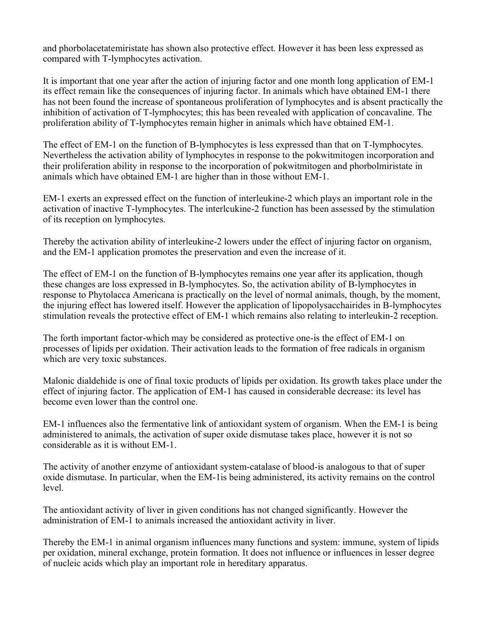and phorbolacetatemiristate has shown also protective effect. However it has been less expressed as compared with T-lymphocytes activation.

It is important that one year after the action of injuring factor and one month long application of EM-1 its effect remain like the consequences of injuring factor. In animals which have obtained EM-1 there has not been found the increase of spontaneous proliferation of lymphocytes and is absent practically the inhibition of activation of T-lymphocytes; this has been revealed with application of concavaline. The proliferation ability of T-lymphocytes remain higher in animals which have obtained EM-1.

The effect of EM-1 on the function of B-lymphocytes is less expressed than that on T-lymphocytes. Nevertheless the activation ability of lymphocytes in response to the pokwitmitogen incorporation and their proliferation ability in response to the incorporation of pokwitmitogen and phorbolmiristate in animals which have obtained EM-1 are higher than in those without EM-1.

EM1 exerts an expressed effect on the function of interleukine2 which plays an important role in the activation of inactive T-lymphocytes. The interlcukine-2 function has been assessed by the stimulation of its reception on lymphocytes.

Thereby the activation ability of interleukine-2 lowers under the effect of injuring factor on organism, and the EM-1 application promotes the preservation and even the increase of it.

The effect of EM-1 on the function of B-lymphocytes remains one year after its application, though these changes are loss expressed in B-lymphocytes. So, the activation ability of B-lymphocytes in response to Phytolacca Americana is practically on the level of normal animals, though, by the moment, the injuring effect has lowered itself. However the application of lipopolysacchairides in B-lymphocytes stimulation reveals the protective effect of EM-1 which remains also relating to interleukin-2 reception.

The forth important factor-which may be considered as protective one-is the effect of EM-1 on processes of lipids per oxidation. Their activation leads to the formation of free radicals in organism which are very toxic substances.

Malonic dialdehide is one of final toxic products of lipids per oxidation. Its growth takes place under the effect of injuring factor. The application of EM-1 has caused in considerable decrease: its level has become even lower than the control one.

EM-1 influences also the fermentative link of antioxidant system of organism. When the EM-1 is being administered to animals, the activation of super oxide dismutase takes place, however it is not so considerable as it is without EM1.

The activity of another enzyme of antioxidant system-catalase of blood-is analogous to that of super oxide dismutase. In particular, when the EM-1 is being administered, its activity remains on the control level.

The antioxidant activity of liver in given conditions has not changed significantly. However the administration of EM-1 to animals increased the antioxidant activity in liver.

Thereby the EM1 in animal organism influences many functions and system: immune, system of lipids per oxidation, mineral exchange, protein formation. It does not influence or influences in lesser degree of nucleic acids which play an important role in hereditary apparatus.